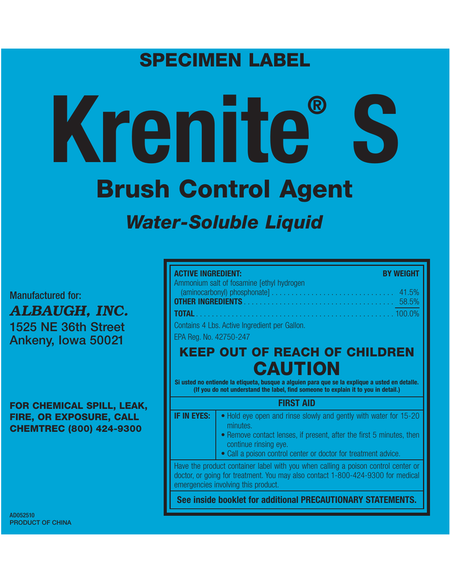# **SPECIMEN LABEL**

# **Krenite® S Brush Control Agent** *Water-Soluble Liquid*

Manufactured for: *ALBAUGH, INC.* **1525 NE 36th Street Ankeny, Iowa 50021**

**FOR CHEMICAL SPILL, LEAK, FIRE, OR EXPOSURE, CALL CHEMTREC (800) 424-9300**

AD052510 **PRODUCT OF CHINA**

| <b>ACTIVE INGREDIENT:</b>                     | <b>BY WEIGHT</b> |
|-----------------------------------------------|------------------|
| Ammonium salt of fosamine [ethyl hydrogen]    |                  |
|                                               |                  |
| Contains 4 Lbs. Active Ingredient per Gallon. |                  |
| EPA Reg. No. 42750-247                        |                  |

# **KEEP OUT OF REACH OF CHILDREN CAUTION**

**Si usted no entiende la etiqueta, busque a alguien para que se la explique a usted en detalle. (If you do not understand the label, find someone to explain it to you in detail.)**

# **FIRST AID**

- **IF IN EYES:**  $\bullet$  Hold eye open and rinse slowly and gently with water for 15-20 minutes.
	- Remove contact lenses, if present, after the first 5 minutes, then continue rinsing eye.
	- Call a poison control center or doctor for treatment advice.

Have the product container label with you when calling a poison control center or doctor, or going for treatment. You may also contact 1-800-424-9300 for medical emergencies involving this product.

**See inside booklet for additional PRECAUTIONARY STATEMENTS.**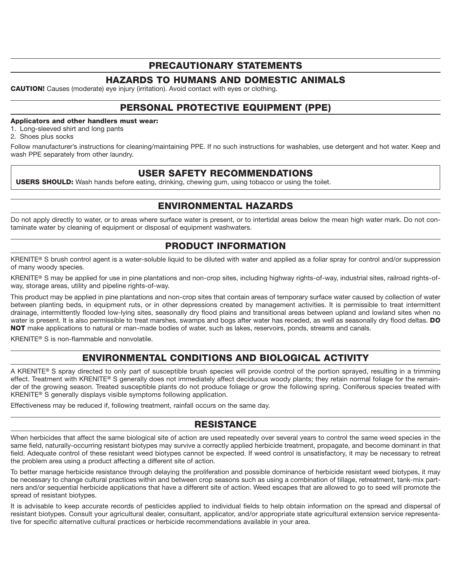# **PRECAUTIONARY STATEMENTS**

# **HAZARDS TO HUMANS AND DOMESTIC ANIMALS**

**CAUTION!** Causes (moderate) eye injury (irritation). Avoid contact with eyes or clothing.

# **PERSONAL PROTECTIVE EQUIPMENT (PPE)**

#### **Applicators and other handlers must wear:**

1. Long-sleeved shirt and long pants

2. Shoes plus socks

Follow manufacturer's instructions for cleaning/maintaining PPE. If no such instructions for washables, use detergent and hot water. Keep and wash PPE separately from other laundry.

# **USER SAFETY RECOMMENDATIONS**

**USERS SHOULD:** Wash hands before eating, drinking, chewing gum, using tobacco or using the toilet.

# **ENVIRONMENTAL HAZARDS**

Do not apply directly to water, or to areas where surface water is present, or to intertidal areas below the mean high water mark. Do not contaminate water by cleaning of equipment or disposal of equipment washwaters.

# **PRODUCT INFORMATION**

KRENITE**®** S brush control agent is a water-soluble liquid to be diluted with water and applied as a foliar spray for control and/or suppression of many woody species.

KRENITE**®** S may be applied for use in pine plantations and non-crop sites, including highway rights-of-way, industrial sites, railroad rights-ofway, storage areas, utility and pipeline rights-of-way.

This product may be applied in pine plantations and non-crop sites that contain areas of temporary surface water caused by collection of water between planting beds, in equipment ruts, or in other depressions created by management activities. It is permissible to treat intermittent drainage, intermittently flooded low-lying sites, seasonally dry flood plains and transitional areas between upland and lowland sites when no water is present. It is also permissible to treat marshes, swamps and bogs after water has receded, as well as seasonally dry flood deltas. **DO NOT** make applications to natural or man-made bodies of water, such as lakes, reservoirs, ponds, streams and canals.

KRENITE**®** S is non-flammable and nonvolatile.

# **ENVIRONMENTAL CONDITIONS AND BIOLOGICAL ACTIVITY**

A KRENITE**®** S spray directed to only part of susceptible brush species will provide control of the portion sprayed, resulting in a trimming effect. Treatment with KRENITE**®** S generally does not immediately affect deciduous woody plants; they retain normal foliage for the remainder of the growing season. Treated susceptible plants do not produce foliage or grow the following spring. Coniferous species treated with KRENITE**®** S generally displays visible symptoms following application.

Effectiveness may be reduced if, following treatment, rainfall occurs on the same day.

# **RESISTANCE**

When herbicides that affect the same biological site of action are used repeatedly over several years to control the same weed species in the same field, naturally-occurring resistant biotypes may survive a correctly applied herbicide treatment, propagate, and become dominant in that field. Adequate control of these resistant weed biotypes cannot be expected. If weed control is unsatisfactory, it may be necessary to retreat the problem area using a product affecting a different site of action.

To better manage herbicide resistance through delaying the proliferation and possible dominance of herbicide resistant weed biotypes, it may be necessary to change cultural practices within and between crop seasons such as using a combination of tillage, retreatment, tank-mix partners and/or sequential herbicide applications that have a different site of action. Weed escapes that are allowed to go to seed will promote the spread of resistant biotypes.

It is advisable to keep accurate records of pesticides applied to individual fields to help obtain information on the spread and dispersal of resistant biotypes. Consult your agricultural dealer, consultant, applicator, and/or appropriate state agricultural extension service representative for specific alternative cultural practices or herbicide recommendations available in your area.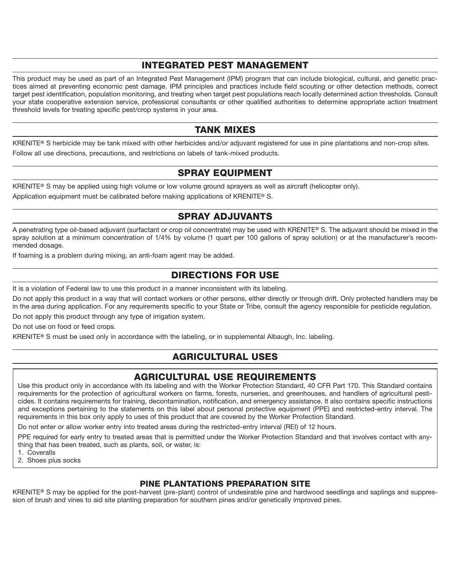# **INTEGRATED PEST MANAGEMENT**

This product may be used as part of an Integrated Pest Management (IPM) program that can include biological, cultural, and genetic practices aimed at preventing economic pest damage. IPM principles and practices include field scouting or other detection methods, correct target pest identification, population monitoring, and treating when target pest populations reach locally determined action thresholds. Consult your state cooperative extension service, professional consultants or other qualified authorities to determine appropriate action treatment threshold levels for treating specific pest/crop systems in your area.

# **TANK MIXES**

KRENITE**®** S herbicide may be tank mixed with other herbicides and/or adjuvant registered for use in pine plantations and non-crop sites. Follow all use directions, precautions, and restrictions on labels of tank-mixed products.

# **SPRAY EQUIPMENT**

KRENITE**®** S may be applied using high volume or low volume ground sprayers as well as aircraft (helicopter only).

Application equipment must be calibrated before making applications of KRENITE**®** S.

# **SPRAY ADJUVANTS**

A penetrating type oil-based adjuvant (surfactant or crop oil concentrate) may be used with KRENITE**®** S. The adjuvant should be mixed in the spray solution at a minimum concentration of 1/4% by volume (1 quart per 100 gallons of spray solution) or at the manufacturer's recommended dosage.

If foaming is a problem during mixing, an anti-foam agent may be added.

# **DIRECTIONS FOR USE**

It is a violation of Federal law to use this product in a manner inconsistent with its labeling.

Do not apply this product in a way that will contact workers or other persons, either directly or through drift. Only protected handlers may be in the area during application. For any requirements specific to your State or Tribe, consult the agency responsible for pesticide regulation.

Do not apply this product through any type of irrigation system.

Do not use on food or feed crops.

KRENITE**®** S must be used only in accordance with the labeling, or in supplemental Albaugh, Inc. labeling.

# **AGRICULTURAL USES**

# **AGRICULTURAL USE REQUIREMENTS**

Use this product only in accordance with its labeling and with the Worker Protection Standard, 40 CFR Part 170. This Standard contains requirements for the protection of agricultural workers on farms, forests, nurseries, and greenhouses, and handlers of agricultural pesticides. It contains requirements for training, decontamination, notification, and emergency assistance. It also contains specific instructions and exceptions pertaining to the statements on this label about personal protective equipment (PPE) and restricted-entry interval. The requirements in this box only apply to uses of this product that are covered by the Worker Protection Standard.

Do not enter or allow worker entry into treated areas during the restricted-entry interval (REI) of 12 hours.

PPE required for early entry to treated areas that is permitted under the Worker Protection Standard and that involves contact with anything that has been treated, such as plants, soil, or water, is:

1. Coveralls

2. Shoes plus socks

# **PINE PLANTATIONS PREPARATION SITE**

KRENITE**®** S may be applied for the post-harvest (pre-plant) control of undesirable pine and hardwood seedlings and saplings and suppression of brush and vines to aid site planting preparation for southern pines and/or genetically improved pines.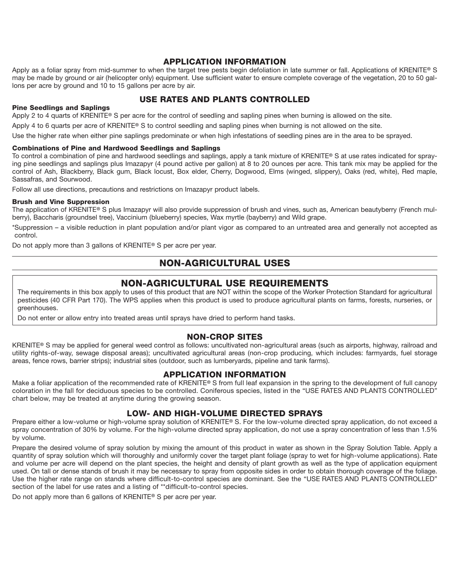### **APPLICATION INFORMATION**

Apply as a foliar spray from mid-summer to when the target tree pests begin defoliation in late summer or fall. Applications of KRENITE**®** S may be made by ground or air (helicopter only) equipment. Use sufficient water to ensure complete coverage of the vegetation, 20 to 50 gallons per acre by ground and 10 to 15 gallons per acre by air.

# **USE RATES AND PLANTS CONTROLLED**

#### **Pine Seedlings and Saplings**

Apply 2 to 4 quarts of KRENITE**®** S per acre for the control of seedling and sapling pines when burning is allowed on the site.

Apply 4 to 6 quarts per acre of KRENITE**®** S to control seedling and sapling pines when burning is not allowed on the site.

Use the higher rate when either pine saplings predominate or when high infestations of seedling pines are in the area to be sprayed.

#### **Combinations of Pine and Hardwood Seedlings and Saplings**

To control a combination of pine and hardwood seedlings and saplings, apply a tank mixture of KRENITE**®** S at use rates indicated for spraying pine seedlings and saplings plus Imazapyr (4 pound active per gallon) at 8 to 20 ounces per acre. This tank mix may be applied for the control of Ash, Blackberry, Black gum, Black locust, Box elder, Cherry, Dogwood, Elms (winged, slippery), Oaks (red, white), Red maple, Sassafras, and Sourwood.

Follow all use directions, precautions and restrictions on Imazapyr product labels.

#### **Brush and Vine Suppression**

The application of KRENITE**®** S plus Imazapyr will also provide suppression of brush and vines, such as, American beautyberry (French mulberry), Baccharis (groundsel tree), Vaccinium (blueberry) species, Wax myrtle (bayberry) and Wild grape.

\*Suppression – a visible reduction in plant population and/or plant vigor as compared to an untreated area and generally not accepted as control.

Do not apply more than 3 gallons of KRENITE**®** S per acre per year.

# **NON-AGRICULTURAL USES**

# **NON-AGRICULTURAL USE REQUIREMENTS**

The requirements in this box apply to uses of this product that are NOT within the scope of the Worker Protection Standard for agricultural pesticides (40 CFR Part 170). The WPS applies when this product is used to produce agricultural plants on farms, forests, nurseries, or greenhouses.

Do not enter or allow entry into treated areas until sprays have dried to perform hand tasks.

### **NON-CROP SITES**

KRENITE**®** S may be applied for general weed control as follows: uncultivated non-agricultural areas (such as airports, highway, railroad and utility rights-of-way, sewage disposal areas); uncultivated agricultural areas (non-crop producing, which includes: farmyards, fuel storage areas, fence rows, barrier strips); industrial sites (outdoor, such as lumberyards, pipeline and tank farms).

#### **APPLICATION INFORMATION**

Make a foliar application of the recommended rate of KRENITE**®** S from full leaf expansion in the spring to the development of full canopy coloration in the fall for deciduous species to be controlled. Coniferous species, listed in the "USE RATES AND PLANTS CONTROLLED" chart below, may be treated at anytime during the growing season.

### **LOW- AND HIGH-VOLUME DIRECTED SPRAYS**

Prepare either a low-volume or high-volume spray solution of KRENITE**®** S. For the low-volume directed spray application, do not exceed a spray concentration of 30% by volume. For the high-volume directed spray application, do not use a spray concentration of less than 1.5% by volume.

Prepare the desired volume of spray solution by mixing the amount of this product in water as shown in the Spray Solution Table. Apply a quantity of spray solution which will thoroughly and uniformly cover the target plant foliage (spray to wet for high-volume applications). Rate and volume per acre will depend on the plant species, the height and density of plant growth as well as the type of application equipment used. On tall or dense stands of brush it may be necessary to spray from opposite sides in order to obtain thorough coverage of the foliage. Use the higher rate range on stands where difficult-to-control species are dominant. See the "USE RATES AND PLANTS CONTROLLED" section of the label for use rates and a listing of \*\*difficult-to-control species.

Do not apply more than 6 gallons of KRENITE**®** S per acre per year.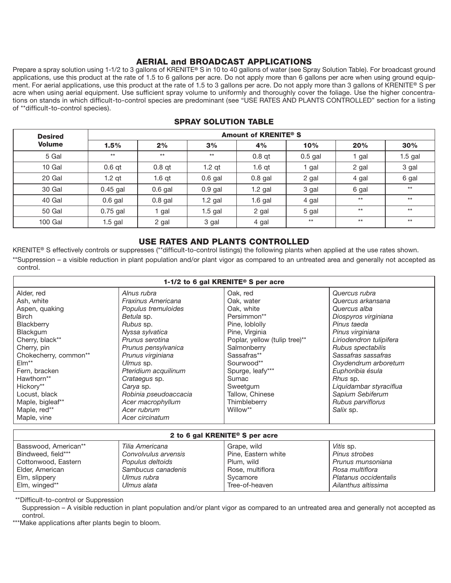# **AERIAL and BROADCAST APPLICATIONS**

Prepare a spray solution using 1-1/2 to 3 gallons of KRENITE**®** S in 10 to 40 gallons of water (see Spray Solution Table). For broadcast ground applications, use this product at the rate of 1.5 to 6 gallons per acre. Do not apply more than 6 gallons per acre when using ground equipment. For aerial applications, use this product at the rate of 1.5 to 3 gallons per acre. Do not apply more than 3 gallons of KRENITE**®** S per acre when using aerial equipment. Use sufficient spray volume to uniformly and thoroughly cover the foliage. Use the higher concentrations on stands in which difficult-to-control species are predominant (see "USE RATES AND PLANTS CONTROLLED" section for a listing of \*\*difficult-to-control species).

| <b>Desired</b> | Amount of KRENITE <sup>®</sup> S |           |           |           |           |       |           |
|----------------|----------------------------------|-----------|-----------|-----------|-----------|-------|-----------|
| <b>Volume</b>  | 1.5%                             | 2%        | 3%        | 4%        | 10%       | 20%   | 30%       |
| 5 Gal          | $***$                            | $***$     | $***$     | $0.8$ at  | $0.5$ gal | gal   | $1.5$ gal |
| 10 Gal         | $0.6$ qt                         | $0.8$ qt  | $1.2$ qt  | $1.6$ qt  | gal       | 2 gal | 3 gal     |
| 20 Gal         | $1.2$ qt                         | $1.6$ qt  | $0.6$ gal | $0.8$ gal | 2 gal     | 4 gal | 6 gal     |
| 30 Gal         | $0.45$ gal                       | $0.6$ gal | $0.9$ gal | 1.2 gal   | 3 gal     | 6 gal | $***$     |
| 40 Gal         | $0.6$ gal                        | $0.8$ gal | $1.2$ gal | $1.6$ gal | 4 gal     | $**$  | $**$      |
| <b>50 Gal</b>  | $0.75$ gal                       | gal       | $1.5$ gal | 2 gal     | 5 gal     | $**$  | $***$     |
| 100 Gal        | $1.5$ gal                        | 2 gal     | 3 gal     | 4 gal     | $***$     | $**$  | $***$     |

## **SPRAY SOLUTION TABLE**

## **USE RATES AND PLANTS CONTROLLED**

KRENITE**®** S effectively controls or suppresses (\*\*difficult-to-control listings) the following plants when applied at the use rates shown. \*\*Suppression – a visible reduction in plant population and/or plant vigor as compared to an untreated area and generally not accepted as control.

| 1-1/2 to 6 gal KRENITE® S per acre |                       |                               |                         |  |  |
|------------------------------------|-----------------------|-------------------------------|-------------------------|--|--|
| Alder, red                         | Alnus rubra           | Oak, red                      | Quercus rubra           |  |  |
| Ash, white                         | Fraxinus Americana    | Oak, water                    | Quercus arkansana       |  |  |
| Aspen, quaking                     | Populus tremuloides   | Oak, white                    | Quercus alba            |  |  |
| <b>Birch</b>                       | Betula sp.            | Persimmon**                   | Diospyros virginiana    |  |  |
| Blackberry                         | Rubus sp.             | Pine, loblolly                | Pinus taeda             |  |  |
| Blackgum                           | Nyssa sylvatica       | Pine, Virginia                | Pinus virginiana        |  |  |
| Cherry, black**                    | Prunus serotina       | Poplar, yellow (tulip tree)** | Liriodendron tulipifera |  |  |
| Cherry, pin                        | Prunus pensylvanica   | Salmonberry                   | Rubus spectabilis       |  |  |
| Chokecherry, common**              | Prunus virginiana     | Sassafras**                   | Sassafras sassafras     |  |  |
| $EIm**$                            | Ulmus sp.             | Sourwood**                    | Oxydendrum arboretum    |  |  |
| Fern, bracken                      | Pteridium acquilinum  | Spurge, leafy***              | Euphoribia ésula        |  |  |
| Hawthorn**                         | Crataegus sp.         | Sumac                         | Rhus sp.                |  |  |
| Hickory**                          | Carya sp.             | Sweetgum                      | Liquidambar styraciflua |  |  |
| Locust, black                      | Robinia pseudoaccacia | Tallow, Chinese               | Sapium Sebiferum        |  |  |
| Maple, bigleaf**                   | Acer macrophyllum     | Thimbleberry                  | Rubus parviflorus       |  |  |
| Maple, red**                       | Acer rubrum           | Willow**                      | Salix sp.               |  |  |
| Maple, vine                        | Acer circinatum       |                               |                         |  |  |

| 2 to 6 gal KRENITE <sup>®</sup> S per acre |                                         |                                    |                                   |  |  |
|--------------------------------------------|-----------------------------------------|------------------------------------|-----------------------------------|--|--|
| Basswood, American**<br>Bindweed, field*** | Tilia Americana<br>Convolvulus arvensis | Grape, wild<br>Pine, Eastern white | <i>Vitis</i> sp.<br>Pinus strobes |  |  |
| Cottonwood, Eastern                        | Populus deltoids                        | Plum, wild                         | Prunus munsoniana                 |  |  |
| Elder, American                            | Sambucus canadenis                      | Rose, multiflora                   | Rosa multiflora                   |  |  |
| Elm, slippery                              | Ulmus rubra                             | Svcamore                           | Platanus occidentalis             |  |  |
| Elm, winged**                              | Ulmus alata                             | Tree-of-heaven                     | Ailanthus altissima               |  |  |

\*\*Difficult-to-control or Suppression

Suppression – A visible reduction in plant population and/or plant vigor as compared to an untreated area and generally not accepted as control.

\*\*\*Make applications after plants begin to bloom.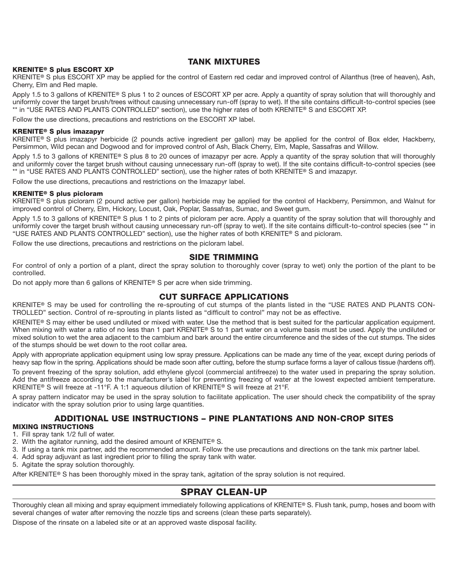#### **TANK MIXTURES**

#### **KRENITE® S plus ESCORT XP**

KRENITE**®** S plus ESCORT XP may be applied for the control of Eastern red cedar and improved control of Ailanthus (tree of heaven), Ash, Cherry, Elm and Red maple.

Apply 1.5 to 3 gallons of KRENITE**®** S plus 1 to 2 ounces of ESCORT XP per acre. Apply a quantity of spray solution that will thoroughly and uniformly cover the target brush/trees without causing unnecessary run-off (spray to wet). If the site contains difficult-to-control species (see \*\* in "USE RATES AND PLANTS CONTROLLED" section), use the higher rates of both KRENITE**®** S and ESCORT XP.

Follow the use directions, precautions and restrictions on the ESCORT XP label.

#### **KRENITE® S plus imazapyr**

KRENITE**®** S plus imazapyr herbicide (2 pounds active ingredient per gallon) may be applied for the control of Box elder, Hackberry, Persimmon, Wild pecan and Dogwood and for improved control of Ash, Black Cherry, Elm, Maple, Sassafras and Willow.

Apply 1.5 to 3 gallons of KRENITE**®** S plus 8 to 20 ounces of imazapyr per acre. Apply a quantity of the spray solution that will thoroughly and uniformly cover the target brush without causing unnecessary run-off (spray to wet). If the site contains difficult-to-control species (see \*\* in "USE RATES AND PLANTS CONTROLLED" section), use the higher rates of both KRENITE**®** S and imazapyr.

Follow the use directions, precautions and restrictions on the Imazapyr label.

#### **KRENITE® S plus picloram**

KRENITE**®** S plus picloram (2 pound active per gallon) herbicide may be applied for the control of Hackberry, Persimmon, and Walnut for improved control of Cherry, Elm, Hickory, Locust, Oak, Poplar, Sassafras, Sumac, and Sweet gum.

Apply 1.5 to 3 gallons of KRENITE**®** S plus 1 to 2 pints of picloram per acre. Apply a quantity of the spray solution that will thoroughly and uniformly cover the target brush without causing unnecessary run-off (spray to wet). If the site contains difficult-to-control species (see \*\* in "USE RATES AND PLANTS CONTROLLED" section), use the higher rates of both KRENITE**®** S and picloram.

Follow the use directions, precautions and restrictions on the picloram label.

#### **SIDE TRIMMING**

For control of only a portion of a plant, direct the spray solution to thoroughly cover (spray to wet) only the portion of the plant to be controlled.

Do not apply more than 6 gallons of KRENITE**®** S per acre when side trimming.

#### **CUT SURFACE APPLICATIONS**

KRENITE**®** S may be used for controlling the re-sprouting of cut stumps of the plants listed in the "USE RATES AND PLANTS CON-TROLLED" section. Control of re-sprouting in plants listed as "difficult to control" may not be as effective.

KRENITE**®** S may either be used undiluted or mixed with water. Use the method that is best suited for the particular application equipment. When mixing with water a ratio of no less than 1 part KRENITE**®** S to 1 part water on a volume basis must be used. Apply the undiluted or mixed solution to wet the area adjacent to the cambium and bark around the entire circum ference and the sides of the cut stumps. The sides of the stumps should be wet down to the root collar area.

Apply with appropriate application equipment using low spray pressure. Applications can be made any time of the year, except during periods of heavy sap flow in the spring. Applications should be made soon after cutting, before the stump surface forms a layer of callous tissue (hardens off).

To prevent freezing of the spray solution, add ethylene glycol (commercial antifreeze) to the water used in preparing the spray solution. Add the antifreeze according to the manufacturer's label for preventing freezing of water at the lowest expected ambient temperature. KRENITE**®** S will freeze at -11°F. A 1:1 aqueous dilution of KRENITE**®** S will freeze at 21°F.

A spray pattern indicator may be used in the spray solution to facilitate application. The user should check the compatibility of the spray indicator with the spray solution prior to using large quantities.

# **ADDITIONAL USE INSTRUCTIONS – PINE PLANTATIONS AND NON-CROP SITES**

#### **MIXING INSTRUCTIONS**

- 1. Fill spray tank 1/2 full of water.
- 2. With the agitator running, add the desired amount of KRENITE**®** S.
- 3. If using a tank mix partner, add the recommended amount. Follow the use precautions and directions on the tank mix partner label.
- 4. Add spray adjuvant as last ingredient prior to filling the spray tank with water.
- 5. Agitate the spray solution thoroughly.

After KRENITE**®** S has been thoroughly mixed in the spray tank, agitation of the spray solution is not required.

# **SPRAY CLEAN-UP**

Thoroughly clean all mixing and spray equipment immediately following applications of KRENITE**®** S. Flush tank, pump, hoses and boom with several changes of water after removing the nozzle tips and screens (clean these parts separately).

Dispose of the rinsate on a labeled site or at an approved waste disposal facility.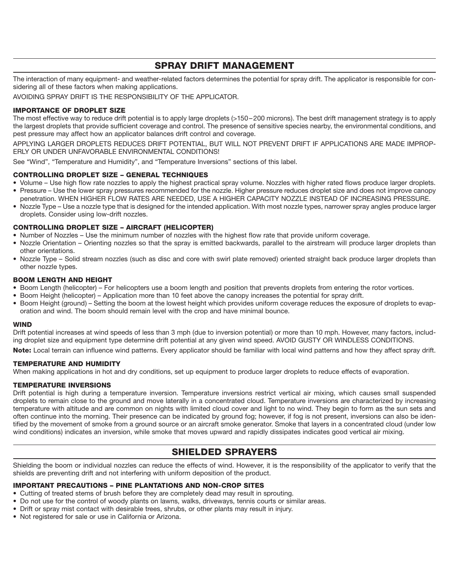# **SPRAY DRIFT MANAGEMENT**

The interaction of many equipment- and weather-related factors determines the potential for spray drift. The applicator is responsible for considering all of these factors when making applications.

AVOIDING SPRAY DRIFT IS THE RESPONSIBILITY OF THE APPLICATOR.

#### **IMPORTANCE OF DROPLET SIZE**

The most effective way to reduce drift potential is to apply large droplets (>150 – 200 microns). The best drift management strategy is to apply the largest droplets that provide sufficient coverage and control. The presence of sensitive species nearby, the environmental conditions, and pest pressure may affect how an applicator balances drift control and coverage.

APPLYING LARGER DROPLETS REDUCES DRIFT POTENTIAL, BUT WILL NOT PREVENT DRIFT IF APPLICATIONS ARE MADE IMPROP-ERLY OR UNDER UNFAVORABLE ENVIRONMENTAL CONDITIONS!

See "Wind", "Temperature and Humidity", and "Temperature Inversions" sections of this label.

#### **CONTROLLING DROPLET SIZE – GENERAL TECHNIQUES**

- Volume Use high flow rate nozzles to apply the highest practical spray volume. Nozzles with higher rated flows produce larger droplets.
- Pressure Use the lower spray pressures recommended for the nozzle. Higher pressure reduces droplet size and does not improve canopy penetration. WHEN HIGHER FLOW RATES ARE NEEDED, USE A HIGHER CAPACITY NOZZLE INSTEAD OF INCREASING PRESSURE.
- Nozzle Type Use a nozzle type that is designed for the intended application. With most nozzle types, narrower spray angles produce larger droplets. Consider using low-drift nozzles.

#### **CONTROLLING DROPLET SIZE – AIRCRAFT (HELICOPTER)**

- Number of Nozzles Use the minimum number of nozzles with the highest flow rate that provide uniform coverage.
- Nozzle Orientation Orienting nozzles so that the spray is emitted backwards, parallel to the airstream will produce larger droplets than other orientations.
- Nozzle Type Solid stream nozzles (such as disc and core with swirl plate removed) oriented straight back produce larger droplets than other nozzle types.

#### **BOOM LENGTH AND HEIGHT**

- Boom Length (helicopter) For helicopters use a boom length and position that prevents droplets from entering the rotor vortices.
- Boom Height (helicopter) Application more than 10 feet above the canopy increases the potential for spray drift.
- Boom Height (ground) Setting the boom at the lowest height which provides uniform coverage reduces the exposure of droplets to evaporation and wind. The boom should remain level with the crop and have minimal bounce.

#### **WIND**

Drift potential increases at wind speeds of less than 3 mph (due to inversion potential) or more than 10 mph. However, many factors, including droplet size and equipment type determine drift potential at any given wind speed. AVOID GUSTY OR WINDLESS CONDITIONS.

**Note:** Local terrain can influence wind patterns. Every applicator should be familiar with local wind patterns and how they affect spray drift.

#### **TEMPERATURE AND HUMIDITY**

When making applications in hot and dry conditions, set up equipment to produce larger droplets to reduce effects of evaporation.

#### **TEMPERATURE INVERSIONS**

Drift potential is high during a temperature inversion. Temperature inversions restrict vertical air mixing, which causes small suspended droplets to remain close to the ground and move laterally in a concentrated cloud. Temperature inversions are characterized by increasing temperature with altitude and are common on nights with limited cloud cover and light to no wind. They begin to form as the sun sets and often continue into the morning. Their presence can be indicated by ground fog; however, if fog is not present, inversions can also be identified by the movement of smoke from a ground source or an aircraft smoke generator. Smoke that layers in a concentrated cloud (under low wind conditions) indicates an inversion, while smoke that moves upward and rapidly dissipates indicates good vertical air mixing.

# **SHIELDED SPRAYERS**

Shielding the boom or individual nozzles can reduce the effects of wind. However, it is the responsibility of the applicator to verify that the shields are preventing drift and not interfering with uniform deposition of the product.

#### **IMPORTANT PRECAUTIONS – PINE PLANTATIONS AND NON-CROP SITES**

- Cutting of treated stems of brush before they are completely dead may result in sprouting.
- Do not use for the control of woody plants on lawns, walks, driveways, tennis courts or similar areas.
- Drift or spray mist contact with desirable trees, shrubs, or other plants may result in injury.
- Not registered for sale or use in California or Arizona.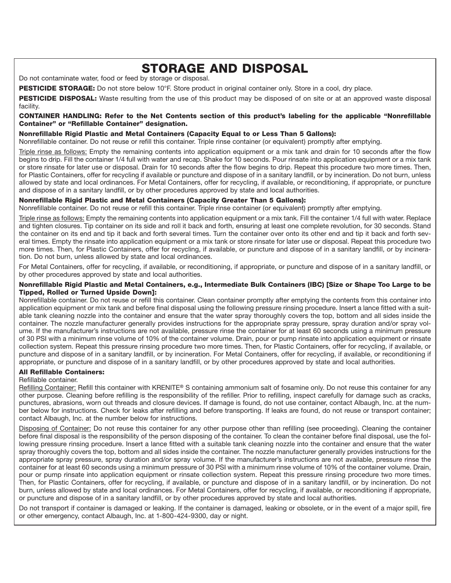# **STORAGE AND DISPOSAL**

Do not contaminate water, food or feed by storage or disposal.

**PESTICIDE STORAGE:** Do not store below 10°F. Store product in original container only. Store in a cool, dry place.

**PESTICIDE DISPOSAL:** Waste resulting from the use of this product may be disposed of on site or at an approved waste disposal facility.

#### **CONTAINER HANDLING: Refer to the Net Contents section of this product's labeling for the applicable "Nonrefillable Container" or "Refillable Container" designation.**

#### **Nonrefillable Rigid Plastic and Metal Containers (Capacity Equal to or Less Than 5 Gallons):**

Nonrefillable container. Do not reuse or refill this container. Triple rinse container (or equivalent) promptly after emptying.

Triple rinse as follows: Empty the remaining contents into application equipment or a mix tank and drain for 10 seconds after the flow begins to drip. Fill the container 1/4 full with water and recap. Shake for 10 seconds. Pour rinsate into application equipment or a mix tank or store rinsate for later use or disposal. Drain for 10 seconds after the flow begins to drip. Repeat this procedure two more times. Then, for Plastic Containers, offer for recycling if available or puncture and dispose of in a sanitary landfill, or by incineration. Do not burn, unless allowed by state and local ordinances. For Metal Containers, offer for recycling, if available, or reconditioning, if appropriate, or puncture and dispose of in a sanitary landfill, or by other procedures approved by state and local authorities.

#### **Nonrefillable Rigid Plastic and Metal Containers (Capacity Greater Than 5 Gallons):**

Nonrefillable container. Do not reuse or refill this container. Triple rinse container (or equivalent) promptly after emptying.

Triple rinse as follows: Empty the remaining contents into application equipment or a mix tank. Fill the container 1/4 full with water. Replace and tighten closures. Tip container on its side and roll it back and forth, ensuring at least one complete revolution, for 30 seconds. Stand the container on its end and tip it back and forth several times. Turn the container over onto its other end and tip it back and forth several times. Empty the rinsate into application equipment or a mix tank or store rinsate for later use or disposal. Repeat this procedure two more times. Then, for Plastic Containers, offer for recycling, if available, or puncture and dispose of in a sanitary landfill, or by incineration. Do not burn, unless allowed by state and local ordinances.

For Metal Containers, offer for recycling, if available, or reconditioning, if appropriate, or puncture and dispose of in a sanitary landfill, or by other procedures approved by state and local authorities.

#### **Nonrefillable Rigid Plastic and Metal Containers, e.g., Intermediate Bulk Containers (IBC) [Size or Shape Too Large to be Tipped, Rolled or Turned Upside Down]:**

Nonrefillable container. Do not reuse or refill this container. Clean container promptly after emptying the contents from this container into application equipment or mix tank and before final disposal using the following pressure rinsing procedure. Insert a lance fitted with a suitable tank cleaning nozzle into the container and ensure that the water spray thoroughly covers the top, bottom and all sides inside the container. The nozzle manufacturer generally provides instructions for the appropriate spray pressure, spray duration and/or spray volume. If the manufacturer's instructions are not available, pressure rinse the container for at least 60 seconds using a minimum pressure of 30 PSI with a minimum rinse volume of 10% of the container volume. Drain, pour or pump rinsate into application equipment or rinsate collection system. Repeat this pressure rinsing procedure two more times. Then, for Plastic Containers, offer for recycling, if available, or puncture and dispose of in a sanitary landfill, or by incineration. For Metal Containers, offer for recycling, if available, or reconditioning if appropriate, or puncture and dispose of in a sanitary landfill, or by other procedures approved by state and local authorities.

#### **All Refillable Containers:**

Refillable container.

Refilling Container: Refill this container with KRENITE**®** S containing ammonium salt of fosamine only. Do not reuse this container for any other purpose. Cleaning before refilling is the responsibility of the refiller. Prior to refilling, inspect carefully for damage such as cracks, punctures, abrasions, worn out threads and closure devices. If damage is found, do not use container, contact Albaugh, Inc. at the number below for instructions. Check for leaks after refilling and before transporting. If leaks are found, do not reuse or transport container; contact Albaugh, Inc. at the number below for instructions.

Disposing of Container: Do not reuse this container for any other purpose other than refilling (see proceeding). Cleaning the container before final disposal is the responsibility of the person disposing of the container. To clean the container before final disposal, use the following pressure rinsing procedure. Insert a lance fitted with a suitable tank cleaning nozzle into the container and ensure that the water spray thoroughly covers the top, bottom and all sides inside the container. The nozzle manufacturer generally provides instructions for the appropriate spray pressure, spray duration and/or spray volume. If the manufacturer's instructions are not available, pressure rinse the container for at least 60 seconds using a minimum pressure of 30 PSI with a minimum rinse volume of 10% of the container volume. Drain, pour or pump rinsate into application equipment or rinsate collection system. Repeat this pressure rinsing procedure two more times. Then, for Plastic Containers, offer for recycling, if available, or puncture and dispose of in a sanitary landfill, or by incineration. Do not burn, unless allowed by state and local ordinances. For Metal Containers, offer for recycling, if available, or reconditioning if appropriate, or puncture and dispose of in a sanitary landfill, or by other procedures approved by state and local authorities.

Do not transport if container is damaged or leaking. If the container is damaged, leaking or obsolete, or in the event of a major spill, fire or other emergency, contact Albaugh, Inc. at 1-800-424-9300, day or night.